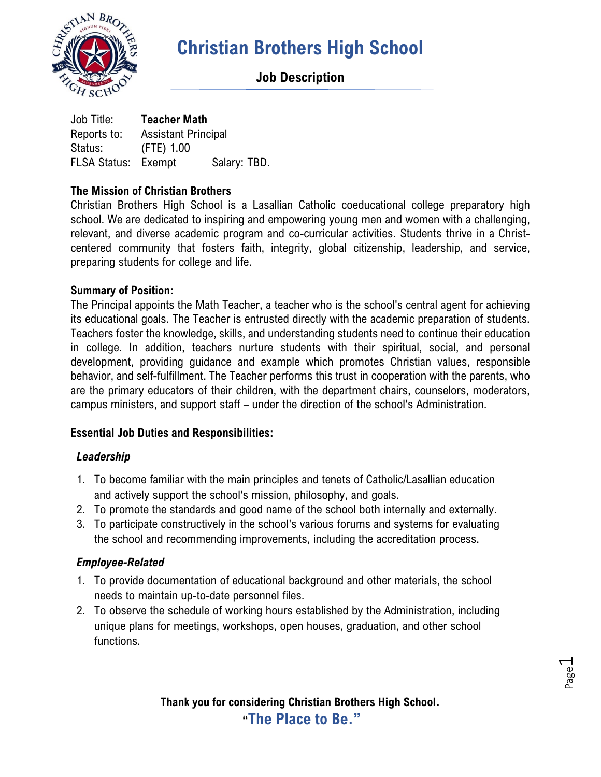

## **Job Description**

Job Title: **Teacher Math** Reports to: Assistant Principal Status: (FTE) 1.00 FLSA Status: Exempt Salary: TBD.

#### **The Mission of Christian Brothers**

Christian Brothers High School is a Lasallian Catholic coeducational college preparatory high school. We are dedicated to inspiring and empowering young men and women with a challenging, relevant, and diverse academic program and co-curricular activities. Students thrive in a Christcentered community that fosters faith, integrity, global citizenship, leadership, and service, preparing students for college and life.

#### **Summary of Position:**

The Principal appoints the Math Teacher, a teacher who is the school's central agent for achieving its educational goals. The Teacher is entrusted directly with the academic preparation of students. Teachers foster the knowledge, skills, and understanding students need to continue their education in college. In addition, teachers nurture students with their spiritual, social, and personal development, providing guidance and example which promotes Christian values, responsible behavior, and self-fulfillment. The Teacher performs this trust in cooperation with the parents, who are the primary educators of their children, with the department chairs, counselors, moderators, campus ministers, and support staff – under the direction of the school's Administration.

#### **Essential Job Duties and Responsibilities:**

#### *Leadership*

- 1. To become familiar with the main principles and tenets of Catholic/Lasallian education and actively support the school's mission, philosophy, and goals.
- 2. To promote the standards and good name of the school both internally and externally.
- 3. To participate constructively in the school's various forums and systems for evaluating the school and recommending improvements, including the accreditation process.

#### *Employee-Related*

- 1. To provide documentation of educational background and other materials, the school needs to maintain up-to-date personnel files.
- 2. To observe the schedule of working hours established by the Administration, including unique plans for meetings, workshops, open houses, graduation, and other school functions.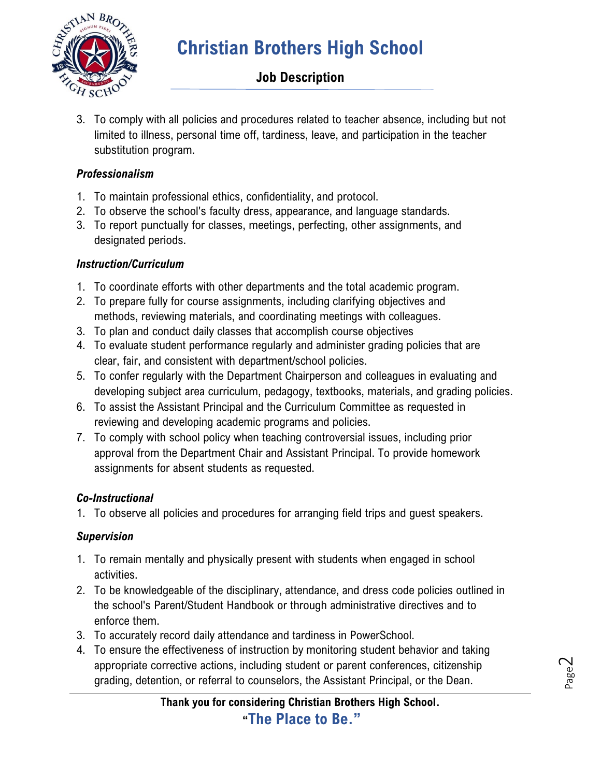

## **Job Description**

3. To comply with all policies and procedures related to teacher absence, including but not limited to illness, personal time off, tardiness, leave, and participation in the teacher substitution program.

### *Professionalism*

- 1. To maintain professional ethics, confidentiality, and protocol.
- 2. To observe the school's faculty dress, appearance, and language standards.
- 3. To report punctually for classes, meetings, perfecting, other assignments, and designated periods.

### *Instruction/Curriculum*

- 1. To coordinate efforts with other departments and the total academic program.
- 2. To prepare fully for course assignments, including clarifying objectives and methods, reviewing materials, and coordinating meetings with colleagues.
- 3. To plan and conduct daily classes that accomplish course objectives
- 4. To evaluate student performance regularly and administer grading policies that are clear, fair, and consistent with department/school policies.
- 5. To confer regularly with the Department Chairperson and colleagues in evaluating and developing subject area curriculum, pedagogy, textbooks, materials, and grading policies.
- 6. To assist the Assistant Principal and the Curriculum Committee as requested in reviewing and developing academic programs and policies.
- 7. To comply with school policy when teaching controversial issues, including prior approval from the Department Chair and Assistant Principal. To provide homework assignments for absent students as requested.

## *Co-Instructional*

1. To observe all policies and procedures for arranging field trips and guest speakers.

## *Supervision*

- 1. To remain mentally and physically present with students when engaged in school activities.
- 2. To be knowledgeable of the disciplinary, attendance, and dress code policies outlined in the school's Parent/Student Handbook or through administrative directives and to enforce them.
- 3. To accurately record daily attendance and tardiness in PowerSchool.
- 4. To ensure the effectiveness of instruction by monitoring student behavior and taking appropriate corrective actions, including student or parent conferences, citizenship grading, detention, or referral to counselors, the Assistant Principal, or the Dean.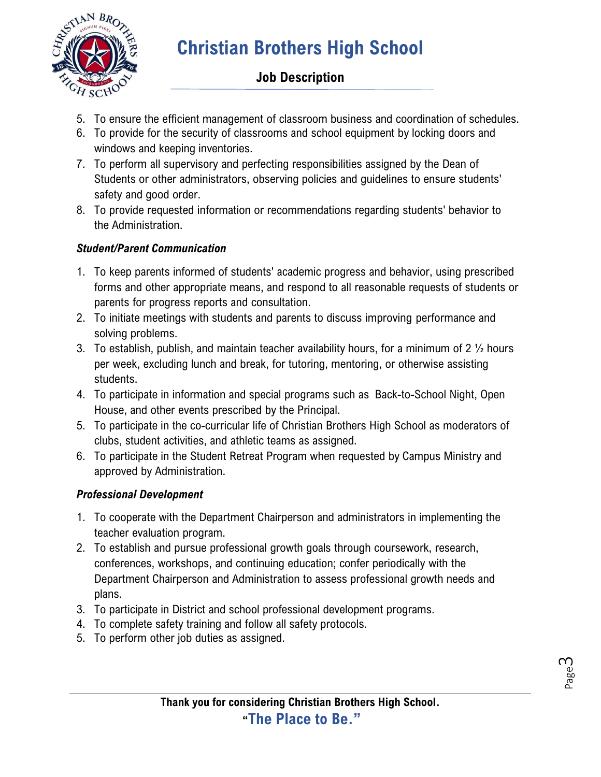

## **Job Description**

- 5. To ensure the efficient management of classroom business and coordination of schedules.
- 6. To provide for the security of classrooms and school equipment by locking doors and windows and keeping inventories.
- 7. To perform all supervisory and perfecting responsibilities assigned by the Dean of Students or other administrators, observing policies and guidelines to ensure students' safety and good order.
- 8. To provide requested information or recommendations regarding students' behavior to the Administration.

### *Student/Parent Communication*

- 1. To keep parents informed of students' academic progress and behavior, using prescribed forms and other appropriate means, and respond to all reasonable requests of students or parents for progress reports and consultation.
- 2. To initiate meetings with students and parents to discuss improving performance and solving problems.
- 3. To establish, publish, and maintain teacher availability hours, for a minimum of 2  $\frac{1}{2}$  hours per week, excluding lunch and break, for tutoring, mentoring, or otherwise assisting students.
- 4. To participate in information and special programs such as Back-to-School Night, Open House, and other events prescribed by the Principal.
- 5. To participate in the co-curricular life of Christian Brothers High School as moderators of clubs, student activities, and athletic teams as assigned.
- 6. To participate in the Student Retreat Program when requested by Campus Ministry and approved by Administration.

### *Professional Development*

- 1. To cooperate with the Department Chairperson and administrators in implementing the teacher evaluation program.
- 2. To establish and pursue professional growth goals through coursework, research, conferences, workshops, and continuing education; confer periodically with the Department Chairperson and Administration to assess professional growth needs and plans.
- 3. To participate in District and school professional development programs.
- 4. To complete safety training and follow all safety protocols.
- 5. To perform other job duties as assigned.